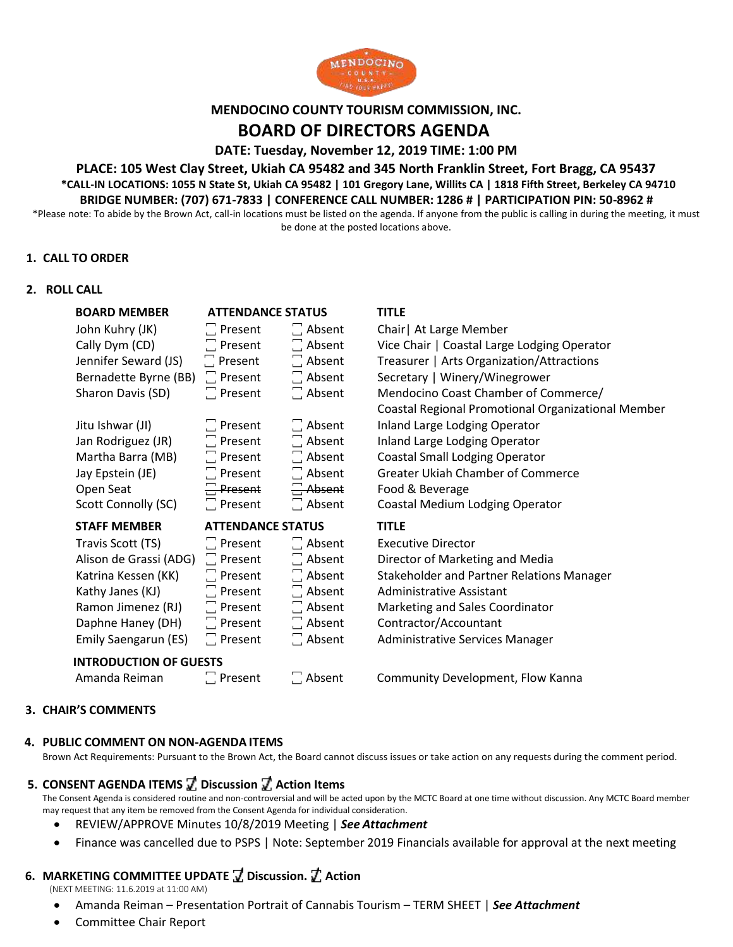

#### **MENDOCINO COUNTY TOURISM COMMISSION, INC.**

# **BOARD OF DIRECTORS AGENDA**

**DATE: Tuesday, November 12, 2019 TIME: 1:00 PM**

### **PLACE: 105 West Clay Street, Ukiah CA 95482 and 345 North Franklin Street, Fort Bragg, CA 95437 \*CALL-IN LOCATIONS: 1055 N State St, Ukiah CA 95482 | 101 Gregory Lane, Willits CA | 1818 Fifth Street, Berkeley CA 94710 BRIDGE NUMBER: (707) 671-7833 | CONFERENCE CALL NUMBER: 1286 # | PARTICIPATION PIN: 50-8962 #**

\*Please note: To abide by the Brown Act, call-in locations must be listed on the agenda. If anyone from the public is calling in during the meeting, it must be done at the posted locations above.

### **1. CALL TO ORDER**

#### **2. ROLL CALL**

| <b>BOARD MEMBER</b>           | <b>ATTENDANCE STATUS</b> |               | <b>TITLE</b>                                       |
|-------------------------------|--------------------------|---------------|----------------------------------------------------|
| John Kuhry (JK)               | $\Box$ Present           | $\Box$ Absent | Chair   At Large Member                            |
| Cally Dym (CD)                | $\Box$ Present           | $\Box$ Absent | Vice Chair   Coastal Large Lodging Operator        |
| Jennifer Seward (JS)          | $\Box$ Present           | $\Box$ Absent | Treasurer   Arts Organization/Attractions          |
| Bernadette Byrne (BB)         | $\Box$ Present           | $\Box$ Absent | Secretary   Winery/Winegrower                      |
| Sharon Davis (SD)             | $\Box$ Present           | $\Box$ Absent | Mendocino Coast Chamber of Commerce/               |
|                               |                          |               | Coastal Regional Promotional Organizational Member |
| Jitu Ishwar (JI)              | $\Box$ Present           | $\Box$ Absent | Inland Large Lodging Operator                      |
| Jan Rodriguez (JR)            | $\square$ Present        | $\Box$ Absent | Inland Large Lodging Operator                      |
| Martha Barra (MB)             | $\Box$ Present           | $\Box$ Absent | <b>Coastal Small Lodging Operator</b>              |
| Jay Epstein (JE)              | $\Box$ Present           | $\Box$ Absent | <b>Greater Ukiah Chamber of Commerce</b>           |
| Open Seat                     | $\Box$ Present           | $\Xi$ Absent  | Food & Beverage                                    |
| Scott Connolly (SC)           | $\Box$ Present           | $\Box$ Absent | Coastal Medium Lodging Operator                    |
| <b>STAFF MEMBER</b>           | <b>ATTENDANCE STATUS</b> |               | <b>TITLE</b>                                       |
| Travis Scott (TS)             | $\Box$ Present           | $\Box$ Absent | <b>Executive Director</b>                          |
| Alison de Grassi (ADG)        | $\Box$ Present           | $\Box$ Absent | Director of Marketing and Media                    |
| Katrina Kessen (KK)           | $\Box$ Present           | $\Box$ Absent | Stakeholder and Partner Relations Manager          |
| Kathy Janes (KJ)              | $\Box$ Present           | $\Box$ Absent | <b>Administrative Assistant</b>                    |
| Ramon Jimenez (RJ)            | $\Box$ Present           | $\Box$ Absent | Marketing and Sales Coordinator                    |
| Daphne Haney (DH)             | $\Box$ Present           | $\Box$ Absent | Contractor/Accountant                              |
| Emily Saengarun (ES)          | $\Box$ Present           | □ Absent      | Administrative Services Manager                    |
| <b>INTRODUCTION OF GUESTS</b> |                          |               |                                                    |
| Amanda Reiman                 | $\Box$ Present           | $\Box$ Absent | Community Development, Flow Kanna                  |

#### **3. CHAIR'S COMMENTS**

#### **4. PUBLIC COMMENT ON NON-AGENDA ITEMS**

Brown Act Requirements: Pursuant to the Brown Act, the Board cannot discuss issues or take action on any requests during the comment period.

# **5. CONSENT AGENDA ITEMS ꙱ Discussion ꙱ Action Items**

The Consent Agenda is considered routine and non-controversial and will be acted upon by the MCTC Board at one time without discussion. Any MCTC Board member may request that any item be removed from the Consent Agenda for individual consideration.

- REVIEW/APPROVE Minutes 10/8/2019 Meeting | *See Attachment*
- Finance was cancelled due to PSPS | Note: September 2019 Financials available for approval at the next meeting

# **6. MARKETING COMMITTEE UPDATE ꙱ Discussion. ꙱ Action**

(NEXT MEETING: 11.6.2019 at 11:00 AM)

- Amanda Reiman Presentation Portrait of Cannabis Tourism TERM SHEET | *See Attachment*
- Committee Chair Report